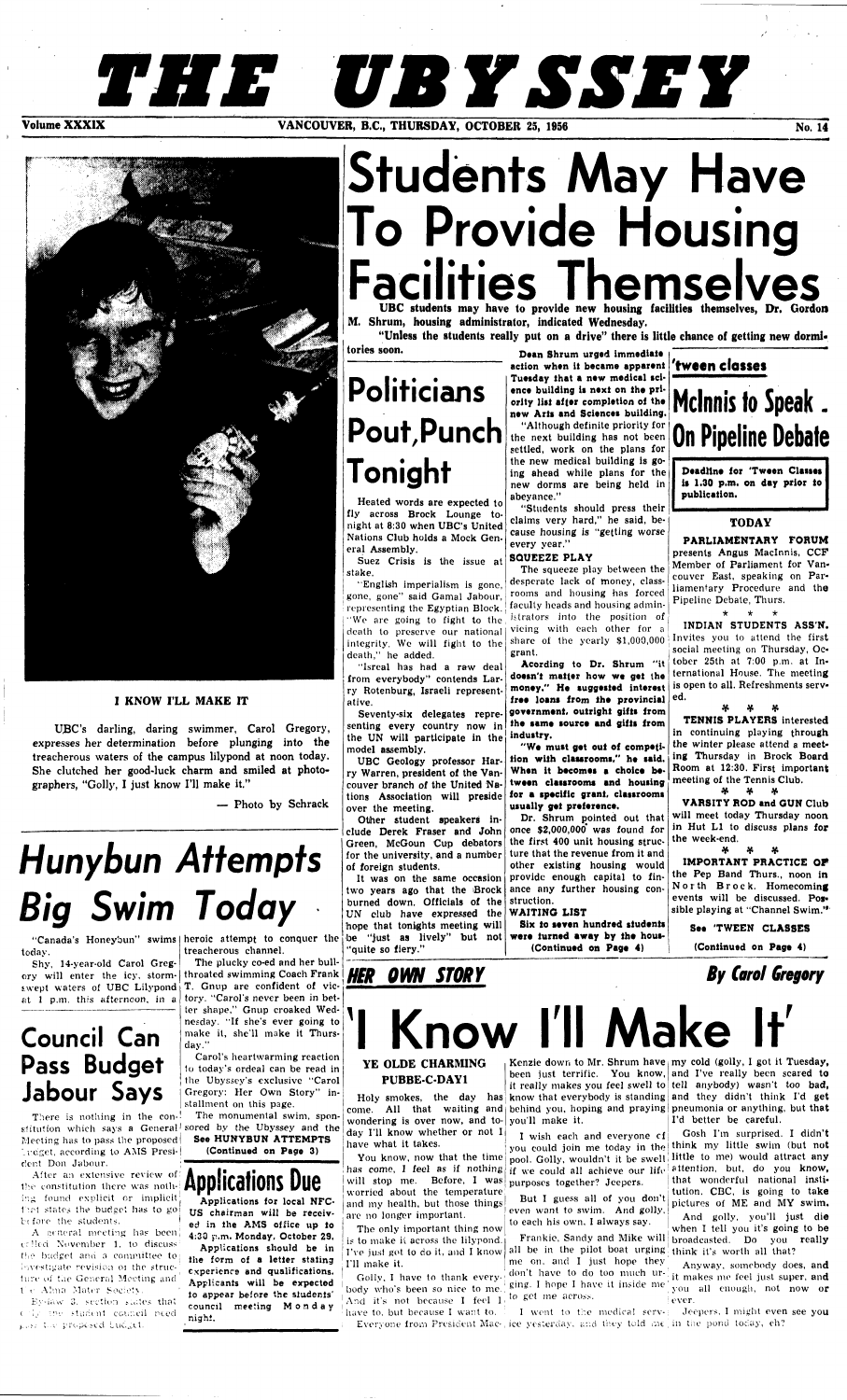## **THE UBYSSEY VANCOUVER, B.C., THURSDAY, OCTOBER 25, 1956 No. 14 CONVERTED ASSESSED ASSESSED AT A LOCAL PROPERTY OF A LOCAL PROPERTY OF A LOCAL PROPERTY OF A LOCAL PROPERTY OF A LOCAL PROPERTY OF A LOCAL PROPERTY OF A LOCAL PROPERTY OF**



## **I KNOW I'LL MAKE IT**

UBC's darling, daring swimmer, Carol Gregory, expresses her determination before plunging into **the**  treacherous waters of **the** campus lilypond at noon today. She clutched her good-luck charm **and smiled** at photographers, "Golly, I just know I'll make it."

There is nothing in the con-! stitution which says a General sored by the Ubyssey and the Meeting has to pass the proposed) '.reset, according to AMS Presi-| dent Don Jabour.

— Photo by Schrack

# **Hunybun Attempts Big Swim Today**

today.

Shy, 14-year-old Carol Gregory will enter the icy, stormiwept waters of UBC Lilypond at 1 p.m. this afternoon, in a

## **Council Can Pass Budget Jabour Says**

After an extensive review of *•*  the constitution there was nothing found explicit or implicit: that states the budget has to go bt fore the students. |

A general meeting has been et lied November 1, to discuss the budget and a committee to; investigate revision oi the structure of the General Meeting and t e-Alma Mater Society.

By-iaw 3. section states that c i,.,' •!•".' sturient council need pless the proposed budget.

"Canada's Honeybun" swims heroic attempt to conquer the treacherous channel.

# **Students May Have To Provide Housing**  Facilities Themselves

**M. Shrum, housing administrator, indicated Wednesday.** 

"Unless the students really put on a drive" there is little chance of getting new dormi-**"Unless the students really put on a drive" there is little chance of getting new dormi-**

The plucky co-ed and her bullthroated swimming Coach Frank T. Gnup are confident of victory. "Carol's never been in better shape," Gnup croaked Wednesday. "If she's ever going to make it, she'll make it Thursday."

Carol's heartwarming reaction to today's ordeal can be read in the Ubyssey's exclusive "Carol Gregory: Her Own Story" installment on this page.

The monumental swim, spon-**See HUNYBUN ATTEMPTS (Continued on Page** 3)



Applications for local NFC-US chairman will be received in the AMS office up to 4:30 p.m. Monday. October 29.

Applications should be in the form of a letter stating experience and qualifications. Applicants will be expected to appear before the students' council meeting Monda y nighi.

**tories soon.** 

# **Politicians Pout,Punch Tonight**

Heated words are expected to fly across Brock Lounge tonight at 8:30 when UBC's United Nations Club holds a Mock General Assembly.

Suez Crisis is the issue at stake.

"English imperialism is gone, gone, gone" said Gamal Jabour, representing the Egyptian Block. "We are going to fight to the death to preserve our national integrity. We will fight to the death," he added.

share of the yearly \$1,000,000 Invites you to attend the first **INDIAN STUDENTS ASS'N.**  social meeting on Thursday, October 25th at 7:00 p.m. at International House. The meeting is open to all. Refreshments served.

"Isreal has had a raw deal from everybody" contends Larry Rotenburg, Israeli representative.

> $\boldsymbol{\varkappa}$  v  $\boldsymbol{\varkappa}$ **IMPORTANT PRACTICE OF**

provide enough capital to fin- the Pep Band Thurs., noon in North Brock. Homecoming

Seventy-six delegates representing every country now in the UN will participate in the model assembly.

UBC Geology professor Harry Warren, president of the Vancouver branch of the United Nations Association will preside **for a specific grant, classrooms**  over the meeting.

wondering is over now, and to- you'll make it. day I'll know whether or not I have what it takes.

You know, now that the time will stop me. Before, I was purposes together? Jeepers. worried about the temperature and my health, but those things arc no longer important.

Other student speakers include Derek Fraser and John Green, McGoun Cup debators for the university, and a number of foreign students.

Golly, I have to thank everybody who's been so nice to me. And it's not because I feel  $I_1$  to get me across.

Holy smokes, the day has know that everybody is standing and they didn't think I'd get come. All that waiting and behind you, hoping and praying pneumonia or anything, but that

has come, I feel as if nothing if we could all achieve our life attention, but, do you know, I wish each and everyone cf you could join me today in the think my little swim (but not pool. Golly, wouldn't it be swell little to me) would attract any

have to, but because I want to. Everyone from President Mac-, ice yesterday, and they told  $m\epsilon$  in the pond today, ch? I went to the medical serv-; Jeepers, I might even see you

It was on the same occasion two years ago that the Brock

**Dean Shrum urged immediate action when it became apparent Tuesday that a new medical science** building **is next on the priority list after completion of the new Arts and Sciences building.** 

I've just got to do it, and I know all be in the pilot boat urging think it's worth all that? me on, and I just hope they don't have to do too much urging. I hope I have it inside me

Kenzie down to Mr. Shrum have<sub>i</sub>my cold (golly, I got it Tuesday**,** been just terrific. You know, and I've really been scared to it really makes you feel swell to tell anybody) wasn't too bad, I'd better be careful.

"Although definite priority for the next building has not been settled, work on the plans for the new medical building is going ahead while plans for the new dorms are being held in abeyance."

Frankie, Sandy and Mike will broadcasted. Do you really Gosh I'm surprised. I didn't that wonderful national institution. CBC, is going to take pictures of ME and MY swim. And golly, you'll just die when I tell you it's going to be

"Students should press their claims very hard," he said, because housing is "getting worse every year."

## **SQUEEZE PLAY**

The squeeze play between the desperate lack of money, classrooms and housing has forced faculty heads and housing administrators into the position of vicing with each other for a grant.

Acording to **Dr.** Shrum "it **doesn't matter how we get the money." He suggested interest free loans from the provincial government, outright gifts from the same source and gifts from industry.** 

**"We must** get **out of competition with classrooms," he said. When it becomes a choice between classrooms and housing usually** get **preference.** 

| burned down. Officials of the struction.<br>UN club have expressed the $\mathbf{W}\mathbf{A}\mathbf{I}\mathbf{T}\mathbf{I}\mathbf{N}\mathbf{G}$ LIST |                                                                                    | events will be discussed. Pos-<br>sible playing at "Channel Swim." |
|------------------------------------------------------------------------------------------------------------------------------------------------------|------------------------------------------------------------------------------------|--------------------------------------------------------------------|
|                                                                                                                                                      | hope that tonights meeting will   Six to seven hundred students                    | See 'TWEEN CLASSES                                                 |
| "quite so fiery."                                                                                                                                    | be "just as lively" but not were furned away by the hous-<br>(Continued on Page 4) | (Continued on Page 4)                                              |

Dr. Shrum pointed out that once  $$2,000,000$  was found for the first 400 unit housing structure that the revenue from it and other existing housing would ance any further housing con-

## **'tween dosses**

## Mclnnis to Speak. On Pipeline Debate

**Deadline for 'Tween Classes is 1.30 p.m. on day prior to publication.** 

## **TODAY**

**PARLIAMENTARY FORUM**  presents Angus Maclnnis, CCF Member of Parliament for Vancouver East, speaking on Parliamentary Procedure and the Pipeline Debate, Thurs.

\* \* \*

\*)r V •\*•

**TENNIS PLAYERS** interested in continuing playing through

the winter please attend a meeting Thursday in Brock Board Room at 12:30. First important meeting of the Tennis Club.

\*r V V

**VARSITY ROD and GUN** Club will meet today Thursday noon in Hut LI to discuss plans **for**  the week-end.

**HER OWN STORY** *By Carol Gregory* 

# **Know I'll Make**

## **YE OLDE CHARMING PUBBE-C-DAY1**

The only important thing now is to make it across the lilypond. I'll make it.

But I guess all of you don't even want to swim. And golly, to each his own, I always say.

> Anyway, somebody does, and it makes me feel just super, and you all enough, not now or ever.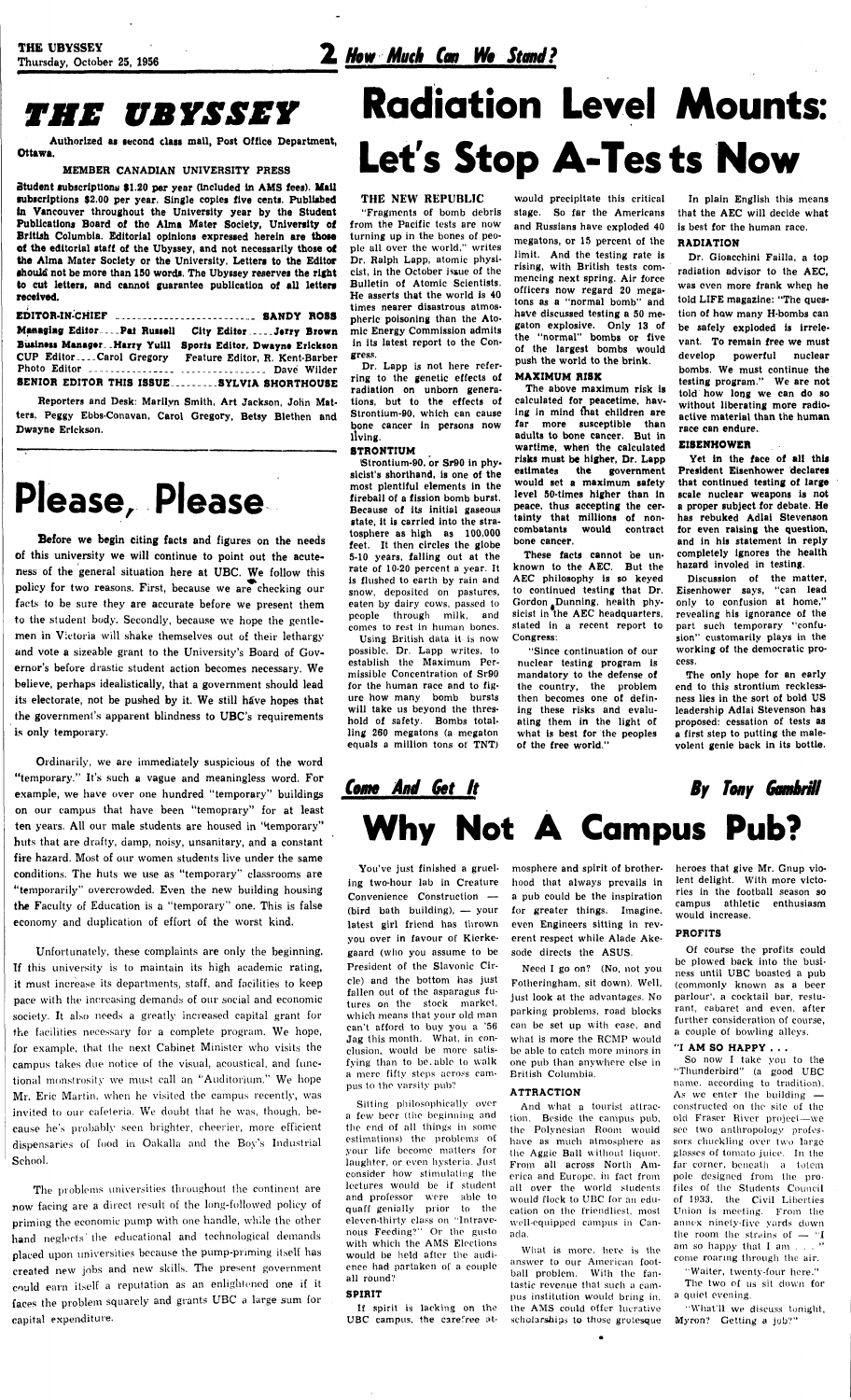**THE UBYSSEY**<br>Thursday, October 25, 1956 **2 How Much Can We Stand?** 

## *THE UBYSSEY*

**Authorized as second class mall, Post Office Department, Ottawa.** 

### **MEMBER CANADIAN UNIVERSITY PRESS**

| EDITOR-IN-CHIEF  SANDY ROSS                                                               |                                |
|-------------------------------------------------------------------------------------------|--------------------------------|
| Managing EditorPat Russell City EditorJerry Brown                                         |                                |
| Business Manager. . Harry Yuill<br>CUP EditorCarol Gregory Feature Editor, R. Kent-Barber | Sports Editor, Dwayne Erickson |
|                                                                                           |                                |
| SENIOR EDITOR THIS ISSUESYLVIA SHORTHOUSE                                                 |                                |

**Student subscriptions \$1.20 per year (Included ln AMS fees). Mail subscriptions \$2.00 per year. Single copies five cents. Published In Vancouver throughout the University year by the Student Publications Board of tho Alma Mater Society, University of British Columbia. Editorial opinions expressed herein** are **those of the editorial staff of the Ubyssey, and not necessarily those of**  the **Alma Mater Society or the University. Letters to the Editor should not be more than 150 words. The Ubyssey reserves the right to cut letters, and cannot guarantee publication of all letters received.** 

**Reporters and Desk: Marilyn Smith, Art Jackson, John Matters, Peggy Ebbs-Conavan. Carol Gregory, Betsy Blethen and Dwayne Erickson.** 

## Please, Please

**Before we begin citing facts and figures on the needs of this university we will continue to point out the acuteness of the general situation here at UBC. We follow this policy for two reasons. First, because we are checking our facts to be sure they are accurate before we present them to the student body. Secondly, because we hope the gentlemen in Victoria will shake themselves out of their lethargy and vote a sizeable grant to the University's Board of Governor's before drastic student action becomes necessary. We believe, perhaps idealistically, that a government should lead its electorate, not be pushed by it. We still have hopes that the government's apparent blindness to UBC's requirements i.s only temporary.** 

# **Radiation Level Mounts:**  Let's Stop A-Tests Now

**Ordinarily, we are immediately suspicious of the word "temporary." It's such a vague and meaningless word. For example, we have over one hundred "temporary" buildings on our campus that have been "temoprary" for at least ten years. All our male students are housed in '^temporary" huts that are drafty, damp, noisy, unsanitary, and a constant fire** hazard. Most of our women students live **under the same**  conditions. **The** huts we use as "temporary" classrooms **are "temporarily"** overcrowded. **Even** the new building housing

**the** Faculty of Education is a "temporary" one. This is false economy and duplication of effort of **the** worst kind.

Unfortunately, these complaints are only the beginning. **If** this university is to maintain its high academic rating, it must increase its departments, staff, and facilities to keep pace with the increasing demands of our social and economic society. It also needs a greatly increased capital grant for the facilities necessary for a complete program. We hope, for example, that the next Cabinet Minister who visits the campus takes due notice of the visual, acoustical, and functional monstrosity we must call an "Auditorium." We hope Mr. Eric Martin, when he visited the campus recently, was invited to our cafeteria. We doubt that he was, though, because he's probably seen brighter, cheerier, more efficient dispensaries of food in Oakalla and the Boy's Industrial School.

The problems universities throughout the continent are now facing are a direct result of the long-followed policy of priming the economic pump with one handle, while the other hand neglects' the educational and technological demands placed upon universities because the pump-priming itself has created new jobs and new skills. The present government could earn itself a reputation as an enlightened one if it faces the problem squarely and grants **UBC** a large sum for capital expenditure.

## **THE NEW REPUBLIC**

**"Fragments of bomb debris from the Pacific tests are now turning up in the bones of people all over the world," writes Dr. Ralph Lapp, atomic physicist, In the October issue of the Bulletin of Atomic Scientists. He asserts that the world is 40 times nearer disastrous atmospheric poisoning than the Atomic Energy Commission admits in its latest report to the Congress.** 

**Dr. Lapp is not here referring to the genetic effects of radiation on unborn generations, but to the effects of Strontium-90, which can cause bone cancer in persons now living.** 

#### **STRONTIUM**

**Strontium-90, or Sr90 in physicist's shorthand, is one of the most plentiful elements in the fireball of a fission bomb burst. Because of its initial gaseous state, it is carried into the stratosphere as high as 100,000 feet. It then circles the globe 5-10 years, falling out at the rate of 10-20 percent** a year. **It is flushed to** earth by rain **and**  snow, deposited on pastures, eaten by dairy cows, passed to people through milk, and comes to rest in human bones.

Using British data **it** is now **possible. Dr. Lapp** writes, to **establish the Maximum Permissible Concentration of Sr90 for the human race and to figure how many bomb bursts will take us beyond the threshold of safety. Bombs totalling 260 megatons (a megaton equals a million tons of TNT)** 

**would precipitate this critical stage. So far the Americans and Russians have exploded 40 megatons, or 15 percent of the limit. And the testing rate is rising, with British tests commencing next spring. Air force officers now regard 20 megatons as a "normal bomb" and have discussed testing a 50 megaton explosive. Only 13 of the "normal" bombs or five of the largest bombs would push the world to the brink.** 

#### **MAXIMUM RISK**

**The above maximum risk is calculated for peacetime, having in mind fhat children are far more susceptible than adults to bone cancer. But in wartime, wheri the calculated risks must be higher, Dr. Lapp estimates the government would set a maximum safety level 50-times higher than in peace, thus accepting the certainty that millions of noncombatants would contract bone cancer.** 

**These facts cannot be unknown to the AEC. But the AEC philosophy is so keyed to continued testing that Dr.**  Gordon Dunning, health phy**sicist in the AEC headquarters, stated in a recent report to Congress:** 

**"Since continuation of our nuclear testing program is mandatory to the defense of the country, the problem then becomes one of defining these risks and evaluating them in the light of what is best for the peoples of the free world."** 

## **Come And (Set It**  *By Tony Gombrffl*  **Why Not A Campus Pub?**

**In plain English this means that the AEC will decide what is best for the human race.** 

## **RADIATION**

**Dr. Gioacchini Failla, a top radiation advisor to the AEC, was even more frank when he told LIFE magazine: "The question of how many H-bombs can be safely exploded is irrelevant. To remain free we must develop powerful nuclear bombs. We must continue the testing program." We are not told how long we can do so without liberating more radioactive material than the human race can endure.** 

## **EISENHOWER**

**Yet in the face of all this President Eisenhower declares that continued testing of large scale nuclear weapons is not a proper subject for debate. He has rebuked Adlai Stevenson for even raising the question, and in his statement in reply completely ignores the health hazard involed in testing.** 

**Discussion of the matter, Eisenhower says, "can lead only to confusion at home," revealing his ignorance of the part such temporary "confusion" customarily plays in the working of the democratic process.** 

**The only hope for an early end to this strontium recklessness lies in the sort of bold US leadership Adlai Stevenson has proposed: cessation of tests as a first step to putting the malevolent genie back in its bottle.** 

**ing two-hour lab in Creature**  hood that always prevails in lent delight. With more victo-**Convenience Construction — (bird bath** building), — your **latest girl friend** has thrown you **over in favour** of **Kierke**you over in juvour of **isiene** gaard (who you assume to be President of the Slavonic Circle) and the bottom has just fallen out of the asparagus futures on the stock market,<br>which means that your old man can't afford to buy you a '56 **Jag** this month. What, in conclusion, would be more satisfying than to be. able to walk a mere fifty steps across campus to the varsity pub? Sitting philosophically over a few beer (the beginning and the end of all things in some estimations) the problems of your life become matters for laughter, or even hysteria. Just consider how stimulating the lectures would be if student and professor were able to quaff genially prior to the eleven-thirty class on "Intravenous Feeding?" Or the gusto with which the AMS Elections would be held after the audience had partaken of a couple all round?

**You've just finished a gruel-**mosphere and spirit of brother-heroes that give Mr. Gnup vioa pub could be the inspiration

### **SPIRIT**

If spirit is lacking on the **UBC** campus, the carefree atfor greater things. Imagine, even Engineers sitting in reverent respect while Alade Akesode directs the **ASUS.** 

Need I go on? (No, not you Fotheringham, sit down). Well, just look at the advantages. No parking problems, road blocks can be set up with ease, and what is more the RCMP would be able to catch more minors in one pub than anywhere else in British Columbia.

#### **ATTRACTION**

And what a tourist attraction. Beside the campus pub, the Polynesian Room would have as much atmosphere as the Aggie Ball without liquor. From all across North America and Europe, in fact from all over the world students would flock to UBC for an education on the friendliest, most well-equipped campus in Canada.

What is more, here is the answer to our American football problem. With the fantastic revenue that such a campus institution would bring in, the AMS could offer lucrative scholarships to those grotesque ries in the football season so

campus athletic enthusiasm would increase.

## **PROFITS**

Of course the profits could be plowed back into the business until **UBC** boasted a pub (commonly known as a beer parlour', a cocktail bar, resturant, cabaret and even, after further consideration of course, a couple of bowling alleys.

### **"I AM SO HAPPY** . . .

So now I take you to the "Thunderbird" (a good UBC name, according to tradition). As we enter the building constructed on the site of the old Fraser River project—we see two anthropology professors chuckling over two large glasses of tomato juice. In the far corner, beneath a totem pole designed from the profiles ot the Students Council of 1933, the Civil Liberties Union is meeting. From the annex ninety-five yards down the room the strains of  $-$  "I am so happy that I am  $\ldots$  " come roaring through the air.

"Waiter, twenty-four here." The two of us sit down for a quiet evening.

"What'll we discuss tonight, Myron? Getting a job?"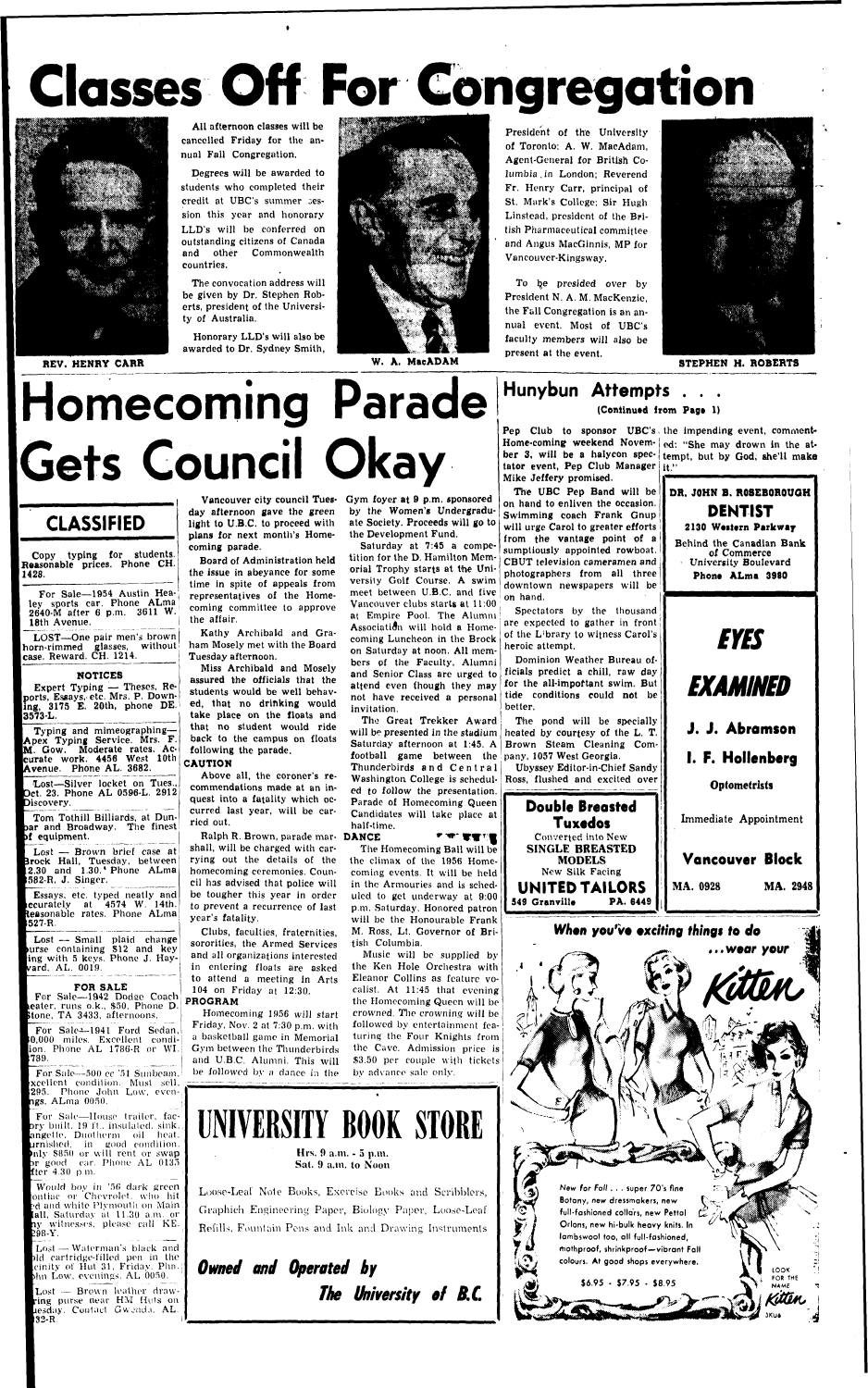# **Classes Off For Congregation**



All afternoon classes will be cancelled Friday for the annual Fall Congregation.

Degrees will be awarded to students who completed their credit at UBC's summer session this year and honorary LLD's will be conferred on outstanding citizens of Canada and other Commonwealth countries,

The convocation address will be given by Dr. Stephen Roberts, president of the University of Australia.

Honorary LLD's will also be awarded to Dr. Sydney Smith,



President of the University of Toronto: A. W. MacAdam, Agent-General for British Columbia, in London; Reverend Fr. Henry Carr, principal of St. Mark's College; Sir Hugh Linstead, president of the British Pharmaceutical committee and Angus MacGinnis, MP for Vancouver-Kingsway.

LOST-One pair men's brown  $\left|$  horn-rimmed glasses, without case. Reward. CH. 1214.

Lost—Silver locket on Tues., )ct. 23. Phone AL 0596-L. 2912 Discovery.

To be presided over by President N. A. M. MacKenzie, the Fall Congregation is an annual event. Most of UBC's faculty members will also be present at the event.



Essays, etc. typed neatly and ccurately at 4574 W. 14th. teasonable rates. Phone ALma 527 R

Lost — Small plaid change urse containing \$12 and key ing with 5 keys. Phone J. Hayvard, AL. 0019.

**STEPHEN H. ROBERTS** 

# Homecoming Parade Gets Council Okay

For Sale—1942 Dodee Coach beater, runs o.k., \$50. Phone D. stone, TA 3433, afternoons.

For Sale-1941 Ford Sedan, ),000 miles. Excellent condiion. Phone AL 1786-R or WI.<br>1789.

For Sale—500 cc '51 Sunbeam, fxcellcnt condition. Must sell, 295. Phone John Low, even**ngs**, ALma 0050.

## **Hunybun Attempts . . . (Continued from Page 1)**

## **CLASSIFIED**

• Copy typing for students. Reasonable prices. Phone CH. 1428.

For Sale-1954 Austin Healey sports car. Phone ALma 2640-M after 6 p.m. 3611 W. 18th Avenue.

## **NOTICES**

Expert Typing — Theses, Reports, Essays, etc. Mrs. P. Down**ling,** 3175 E. 20th, phone DE. **13573-L.** 

Typing and mimeographing— Apex Typing Service. Mrs. F.<br>M. Gow. Moderate rates. Ac. Moderate rates. Accurate work. 4456 West 10th Avenue. Phone AL. 3682.

Tom Tothill Billiards, at Dunpar and Broadway. The finest )f equipment.

Lost — Brown brief case at Brock Hall, Tuesday, between .30 and 1.30.'Phone ALma

2-R, J. Singer.

#### **FOR SALE**

For Sale—House trailer, fac- )ry built, 19 ft., insulated, sink, mgetle. Duotherm oil heat, lrnishecl, in good condition.  $\ln$ ly \$850 or will rent or swap >r good ear. Phono AL 0135 fter 4.30 p.m.

Would boy in '5fi dark green mtiac or Chevrolet, who hit ?d and white Plvmouth on Main (all, Saturday at 11.30 a.m. oily witnesses, please call KE. *198-Y.* 

Lost — Waterman's black and ild cartridge-filled pen in the •inity of Hut 31. Friday. Phn. )hn Low, evenings. AL 0050.

Pep Club to sponsor UBC's the impending event, comment-Home-coming weekend Novem- ed: "She may drown in the atber 3, will be **a** halycon spec-tempt, but by God, she'll make tator event, Pep Club Manager it." Mike Jeffery promised.

day afternoon gave the green light to U.B.C. to proceed with plans for next month's Homecoming parade.

Board of Administration held the issue in abeyance for some time in spite of appeals from representatives of the Homecoming committee to approve the affair.

Kathy Archibald and Graham Mosely met with the Board Tuesday afternoon.

> Washington College is schedul- Ross, flushed and excited over Ubyssey Editor-in-Chief Sandy

Miss Archibald and Mosely assured the officials that the students would be well behaved, that no drinking would take place on the floats and that no student would ride back to the campus on floats following the parade.

#### **CAUTION**

Above all, the coroner's recommendations made at an inquest into a fatality which occurred last year, will be carried out.

Lost - Brown leather drawring purse near HM Huts on resday. Contact Gwenda, AL. »32-R

Vancouver city council Tues-Gym foyer at 9 p.m. sponsored by the Women's Undergraduate Society. Proceeds will go to the Development Fund.

> Hrs. 9 a.m. - 5 p.m. Sat. 9 a.m. to Noon

Ralph R. Brown, parade mar-**DANCE** shall, will be charged with carrying out the details of the homecoming ceremonies. Council has advised that police will be tougher this year in order to prevent a recurrence of last year's fatality. Clubs, faculties, fraternities, sororities, the Armed Services and all organizations interested in entering floats are asked to attend a meeting in Arts 104 on Friday at 12:30. **PROGRAM** 

Homecoming 1956 will start Friday, Nov. 2 at 7:30 p.m. with a basketball game in Memorial Gym between the Thunderbirds and U.B.C. Alumni. This will be followed by a dance in the

Saturday at 7:45 a competition for the D. Hamilton Memorial Trophy starts at the University Golf Course. A swim meet between U.B.C. and five Vancouver clubs starts at 11:00 at Empire Pool. The Alumni Association will hold a Homecoming Luncheon in the Brock on Saturday at noon. All members of the Faculty, Alumni and Senior Class are urged to attend even though they may not have received a personal invitation.

The Great Trekker Award will be presented in the stadium Saturday afternoon at 1:45. A football game between the pany, 1057 West Georgia. Thunderbirds and Central ed *to* follow the presentation. Parade of Homecoming Queen Candidates will take place at half-time.  *W,^"WW"''%* 

The Homecoming Ball will be the climax of the 1956 Homecoming events. It will be held

in the Armouries and is scheduled to get underway at 9:00 p.m. Saturday. Honored patron will be the Honourable Frank M. Ross, Lt. Governor of British Columbia.

Music will be supplied by the Ken Hole Orchestra with Eleanor Collins as feature vocalist. At 11:45 that evening the Homecoming Queen will be crowned. The crowning will be followed by entertainment featuring the Four Knights from the Cave. Admission price is \$3.50 per couple with tickets bv advance sale only.

The UBC Pep Band will be on hand to enliven the occasion. Swimming coach Frank Gnup will urge Carol to greater efforts from the vantage point of a sumptiously appointed rowboat. CBUT television cameramen and photographers from all three downtown newspapers will be on hand.

Spectators by the thousand are expected to gather in front of the L; brary to witness Carol's heroic attempt.

Dominion Weather Bureau officials predict a chill, raw day for the all-important swim. But tide conditions could not be better.

The pond will be specially heated by courtesy of the L. T. Brown Steam Cleaning Com-

> **Double Breasted Tuxedos**  Converted into New **SINGLE BREASTED MODELS**  New Silk Facing



**UNITED TAILORS 549 Granville When** you've exciting things to do

Immediate Appointment

**Vancouver Block** 

**MA. 0928 MA. 2948** 

LOOX FOR THE

**NAME** 

...wear your



*Owned and Operated by*